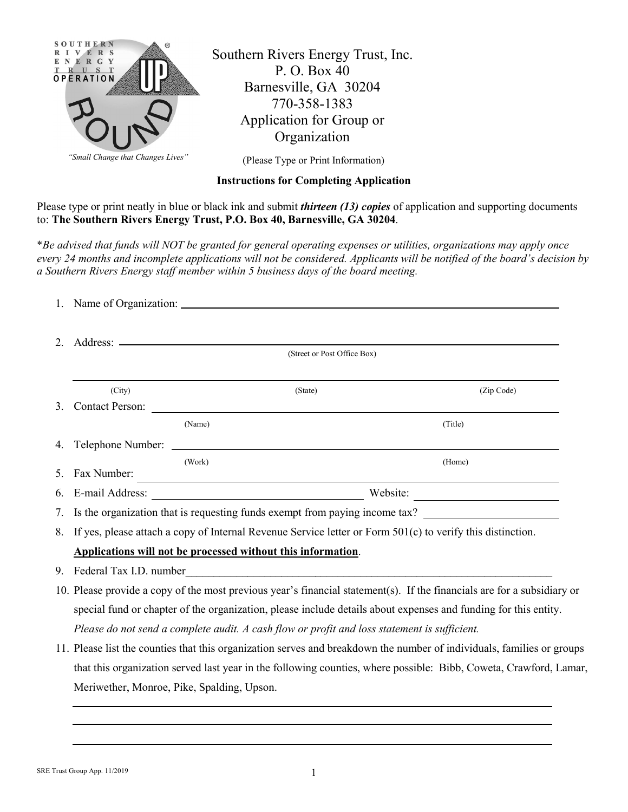

Southern Rivers Energy Trust, Inc. P. O. Box 40 Barnesville, GA 30204 770-358-1383 Application for Group or **Organization** 

(Please Type or Print Information)

## **Instructions for Completing Application**

Please type or print neatly in blue or black ink and submit *thirteen (13) copies* of application and supporting documents to: **The Southern Rivers Energy Trust, P.O. Box 40, Barnesville, GA 30204**.

\**Be advised that funds will NOT be granted for general operating expenses or utilities, organizations may apply once every 24 months and incomplete applications will not be considered. Applicants will be notified of the board's decision by a Southern Rivers Energy staff member within 5 business days of the board meeting.* 

|         | (Street or Post Office Box)                                                                                   |                                |            |  |  |  |  |
|---------|---------------------------------------------------------------------------------------------------------------|--------------------------------|------------|--|--|--|--|
|         | (City)                                                                                                        | (State)                        | (Zip Code) |  |  |  |  |
| $3_{-}$ | <b>Contact Person:</b>                                                                                        |                                |            |  |  |  |  |
|         |                                                                                                               | (Name)                         | (Title)    |  |  |  |  |
| 4.      |                                                                                                               | Telephone Number:              |            |  |  |  |  |
| 5.      | Fax Number:                                                                                                   | (Work)                         | (Home)     |  |  |  |  |
|         |                                                                                                               | Website:<br>6. E-mail Address: |            |  |  |  |  |
|         | 7. Is the organization that is requesting funds exempt from paying income tax?                                |                                |            |  |  |  |  |
|         | 8. If yes, please attach a copy of Internal Revenue Service letter or Form 501(c) to verify this distinction. |                                |            |  |  |  |  |

**Applications will not be processed without this information**.

- 9. Federal Tax I.D. number
- 10. Please provide a copy of the most previous year's financial statement(s). If the financials are for a subsidiary or special fund or chapter of the organization, please include details about expenses and funding for this entity. *Please do not send a complete audit. A cash flow or profit and loss statement is sufficient.*
- 11. Please list the counties that this organization serves and breakdown the number of individuals, families or groups that this organization served last year in the following counties, where possible: Bibb, Coweta, Crawford, Lamar, Meriwether, Monroe, Pike, Spalding, Upson.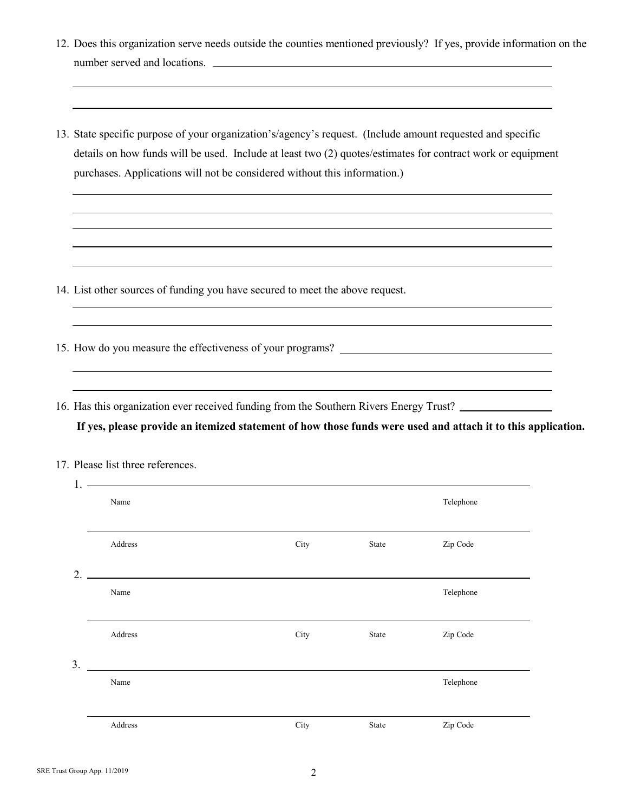|                | number served and locations.                                                                                                                                                                                                                                                                                                   |      |       | 12. Does this organization serve needs outside the counties mentioned previously? If yes, provide information on the                                                                                   |  |  |  |  |
|----------------|--------------------------------------------------------------------------------------------------------------------------------------------------------------------------------------------------------------------------------------------------------------------------------------------------------------------------------|------|-------|--------------------------------------------------------------------------------------------------------------------------------------------------------------------------------------------------------|--|--|--|--|
|                | 13. State specific purpose of your organization's/agency's request. (Include amount requested and specific<br>details on how funds will be used. Include at least two (2) quotes/estimates for contract work or equipment<br>purchases. Applications will not be considered without this information.)                         |      |       |                                                                                                                                                                                                        |  |  |  |  |
|                | 14. List other sources of funding you have secured to meet the above request.                                                                                                                                                                                                                                                  |      |       | <u> 1989 - Johann Stoff, deutscher Stoffen und der Stoffen und der Stoffen und der Stoffen und der Stoffen und de</u>                                                                                  |  |  |  |  |
|                |                                                                                                                                                                                                                                                                                                                                |      |       |                                                                                                                                                                                                        |  |  |  |  |
|                |                                                                                                                                                                                                                                                                                                                                |      |       | 16. Has this organization ever received funding from the Southern Rivers Energy Trust?<br>If yes, please provide an itemized statement of how those funds were used and attach it to this application. |  |  |  |  |
|                | 17. Please list three references.                                                                                                                                                                                                                                                                                              |      |       |                                                                                                                                                                                                        |  |  |  |  |
|                | $1.$ $\frac{1}{2}$ $\frac{1}{2}$ $\frac{1}{2}$ $\frac{1}{2}$ $\frac{1}{2}$ $\frac{1}{2}$ $\frac{1}{2}$ $\frac{1}{2}$ $\frac{1}{2}$ $\frac{1}{2}$ $\frac{1}{2}$ $\frac{1}{2}$ $\frac{1}{2}$ $\frac{1}{2}$ $\frac{1}{2}$ $\frac{1}{2}$ $\frac{1}{2}$ $\frac{1}{2}$ $\frac{1}{2}$ $\frac{1}{2}$ $\frac{1}{2}$ $\frac{1}{$<br>Name |      |       | Telephone                                                                                                                                                                                              |  |  |  |  |
|                |                                                                                                                                                                                                                                                                                                                                |      |       |                                                                                                                                                                                                        |  |  |  |  |
|                | Address                                                                                                                                                                                                                                                                                                                        | City | State | Zip Code                                                                                                                                                                                               |  |  |  |  |
| $\overline{2}$ | Name                                                                                                                                                                                                                                                                                                                           |      |       | Telephone                                                                                                                                                                                              |  |  |  |  |
|                | Address                                                                                                                                                                                                                                                                                                                        | City | State | Zip Code                                                                                                                                                                                               |  |  |  |  |

| aidress.<br>. <b>.</b> | уга1 | ode<br>--- |
|------------------------|------|------------|